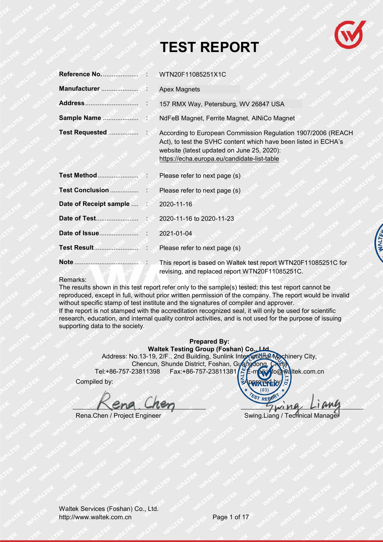

# **TEST REPORT**

|                                      | <b>Apex Magnets</b>                                                                                                                                                                                                          |
|--------------------------------------|------------------------------------------------------------------------------------------------------------------------------------------------------------------------------------------------------------------------------|
|                                      | 157 RMX Way, Petersburg, WV 26847 USA                                                                                                                                                                                        |
|                                      | NdFeB Magnet, Ferrite Magnet, AINiCo Magnet                                                                                                                                                                                  |
|                                      | According to European Commission Regulation 1907/2006 (REACH<br>Act), to test the SVHC content which have been listed in ECHA's<br>website (latest updated on June 25, 2020):<br>https://echa.europa.eu/candidate-list-table |
|                                      | Please refer to next page (s)                                                                                                                                                                                                |
|                                      | Please refer to next page (s)                                                                                                                                                                                                |
| Date of Receipt sample  : 2020-11-16 |                                                                                                                                                                                                                              |
|                                      |                                                                                                                                                                                                                              |
|                                      | 2021-01-04                                                                                                                                                                                                                   |
|                                      |                                                                                                                                                                                                                              |
|                                      | This report is based on Waltek test report WTN20F11085251C for<br>revising, and replaced report WTN20F11085251C.                                                                                                             |

Remarks:

The results shown in this test report refer only to the sample(s) tested; this test report cannot be reproduced, except in full, without prior written permission of the company. The report would be invalid without specific stamp of test institute and the signatures of compiler and approver. If the report is not stamped with the accreditation recognized seal, it will only be used for scientific research, education, and internal quality control activities, and is not used for the purpose of issuing supporting data to the society.

> **Prepared By: Waltek Testing Group (Foshan) Co., Ltd.**  Address: No.13-19, 2/F., 2nd Building, Sunlink International Machinery City, Chencun, Shunde District, Foshan, Guangdong<br>23811398 Fax: +86-757-23811381 Tel:+86-757-23811398 Fax:+86-757-23811381 E-mail: fo@waltek.com.cn

Compiled by:

 $(0.3)$ RF

Rena.Chen / Project Engineer Swing.Liang / Technical Manager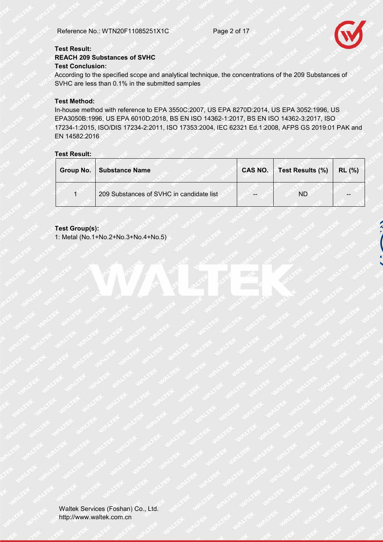

#### **Test Result: REACH 209 Substances of SVHC Test Conclusion:**

According to the specified scope and analytical technique, the concentrations of the 209 Substances of SVHC are less than 0.1% in the submitted samples

#### **Test Method:**

In-house method with reference to EPA 3550C:2007, US EPA 8270D:2014, US EPA 3052:1996, US EPA3050B:1996, US EPA 6010D:2018, BS EN ISO 14362-1:2017, BS EN ISO 14362-3:2017, ISO 17234-1:2015, ISO/DIS 17234-2:2011, ISO 17353:2004, IEC 62321 Ed.1:2008, AFPS GS 2019:01 PAK and EN 14582:2016

#### **Test Result:**

| Group No. | Substance Name                           |    | CAS NO.   Test Results (%) | RL(%) |
|-----------|------------------------------------------|----|----------------------------|-------|
|           | 209 Substances of SVHC in candidate list | -- | <b>ND</b>                  |       |

#### **Test Group(s):**

1: Metal (No.1+No.2+No.3+No.4+No.5)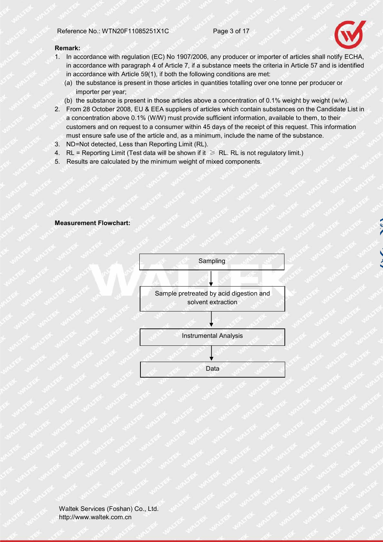

#### **Remark:**

- 1. In accordance with regulation (EC) No 1907/2006, any producer or importer of articles shall notify ECHA, in accordance with paragraph 4 of Article 7, if a substance meets the criteria in Article 57 and is identified in accordance with Article 59(1), if both the following conditions are met:
	- (a) the substance is present in those articles in quantities totalling over one tonne per producer or importer per year;
	- (b) the substance is present in those articles above a concentration of 0.1% weight by weight (w/w).
- 2. From 28 October 2008, EU & EEA suppliers of articles which contain substances on the Candidate List in a concentration above 0.1% (W/W) must provide sufficient information, available to them, to their customers and on request to a consumer within 45 days of the receipt of this request. This information must ensure safe use of the article and, as a minimum, include the name of the substance.
- 3. ND=Not detected, Less than Reporting Limit (RL).
- 4. RL = Reporting Limit (Test data will be shown if it  $\geqslant$  RL. RL is not regulatory limit.)
- 5. Results are calculated by the minimum weight of mixed components.

#### **Measurement Flowchart:**

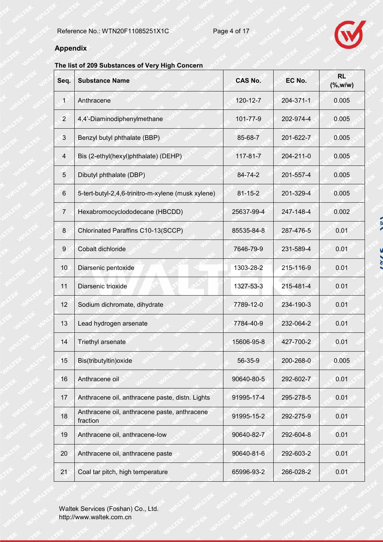

## **Appendix**

### **The list of 209 Substances of Very High Concern**

| Seq.           | <b>Substance Name</b>                                    | <b>CAS No.</b> | EC No.    | <b>RL</b><br>$(\% , w/w)$ |
|----------------|----------------------------------------------------------|----------------|-----------|---------------------------|
| $\mathbf{1}$   | Anthracene                                               | 120-12-7       | 204-371-1 | 0.005                     |
| $\overline{2}$ | 4,4'-Diaminodiphenylmethane                              | 101-77-9       | 202-974-4 | 0.005                     |
| 3              | Benzyl butyl phthalate (BBP)                             | 85-68-7        | 201-622-7 | 0.005                     |
| 4              | Bis (2-ethyl(hexyl)phthalate) (DEHP)                     | $117 - 81 - 7$ | 204-211-0 | 0.005                     |
| 5              | Dibutyl phthalate (DBP)                                  | 84-74-2        | 201-557-4 | 0.005                     |
| 6              | 5-tert-butyl-2,4,6-trinitro-m-xylene (musk xylene)       | $81 - 15 - 2$  | 201-329-4 | 0.005                     |
| $\overline{7}$ | Hexabromocyclododecane (HBCDD)                           | 25637-99-4     | 247-148-4 | 0.002                     |
| 8              | Chlorinated Paraffins C10-13(SCCP)                       | 85535-84-8     | 287-476-5 | 0.01                      |
| 9              | Cobalt dichloride                                        | 7646-79-9      | 231-589-4 | 0.01                      |
| 10             | Diarsenic pentoxide                                      | 1303-28-2      | 215-116-9 | 0.01                      |
| 11             | Diarsenic trioxide                                       | 1327-53-3      | 215-481-4 | 0.01                      |
| 12             | Sodium dichromate, dihydrate                             | 7789-12-0      | 234-190-3 | 0.01                      |
| 13             | Lead hydrogen arsenate                                   | 7784-40-9      | 232-064-2 | 0.01                      |
| 14             | Triethyl arsenate                                        | 15606-95-8     | 427-700-2 | 0.01                      |
| 15             | Bis(tributyltin) oxide                                   | 56-35-9        | 200-268-0 | 0.005                     |
| 16             | Anthracene oil                                           | 90640-80-5     | 292-602-7 | 0.01                      |
| 17             | Anthracene oil, anthracene paste, distn. Lights          | 91995-17-4     | 295-278-5 | 0.01                      |
| 18             | Anthracene oil, anthracene paste, anthracene<br>fraction | 91995-15-2     | 292-275-9 | 0.01                      |
| 19             | Anthracene oil, anthracene-low                           | 90640-82-7     | 292-604-8 | 0.01                      |
| 20             | Anthracene oil, anthracene paste                         | 90640-81-6     | 292-603-2 | 0.01                      |
| 21             | Coal tar pitch, high temperature                         | 65996-93-2     | 266-028-2 | 0.01                      |

**COL**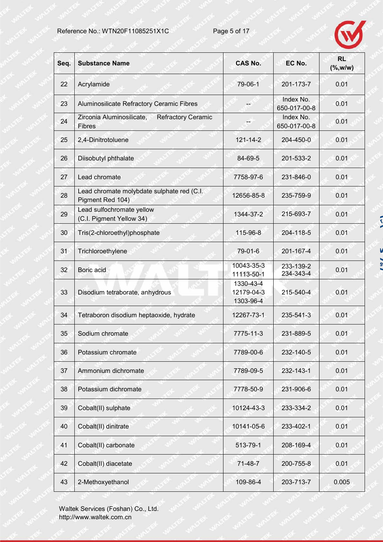

| Seq. | <b>Substance Name</b>                                                   | <b>CAS No.</b>                       | EC No.                    | <b>RL</b><br>$(\%$ , w/w) |
|------|-------------------------------------------------------------------------|--------------------------------------|---------------------------|---------------------------|
| 22   | Acrylamide                                                              | 79-06-1                              | 201-173-7                 | 0.01                      |
| 23   | Aluminosilicate Refractory Ceramic Fibres                               |                                      | Index No.<br>650-017-00-8 | 0.01                      |
| 24   | Zirconia Aluminosilicate,<br><b>Refractory Ceramic</b><br><b>Fibres</b> |                                      | Index No.<br>650-017-00-8 | 0.01                      |
| 25   | 2,4-Dinitrotoluene                                                      | $121 - 14 - 2$                       | 204-450-0                 | 0.01                      |
| 26   | Diisobutyl phthalate                                                    | 84-69-5                              | 201-533-2                 | 0.01                      |
| 27   | Lead chromate                                                           | 7758-97-6                            | 231-846-0                 | 0.01                      |
| 28   | Lead chromate molybdate sulphate red (C.I.<br>Pigment Red 104)          | 12656-85-8                           | 235-759-9                 | 0.01                      |
| 29   | Lead sulfochromate yellow<br>(C.I. Pigment Yellow 34)                   | 1344-37-2                            | 215-693-7                 | 0.01                      |
| 30   | Tris(2-chloroethyl)phosphate                                            | 115-96-8                             | 204-118-5                 | 0.01                      |
| 31   | Trichloroethylene                                                       | 79-01-6                              | 201-167-4                 | 0.01                      |
| 32   | Boric acid                                                              | 10043-35-3<br>11113-50-1             | 233-139-2<br>234-343-4    | 0.01                      |
| 33   | Disodium tetraborate, anhydrous                                         | 1330-43-4<br>12179-04-3<br>1303-96-4 | 215-540-4                 | 0.01                      |
| 34   | Tetraboron disodium heptaoxide, hydrate                                 | 12267-73-1                           | 235-541-3                 | 0.01                      |
| 35   | Sodium chromate                                                         | 7775-11-3                            | 231-889-5                 | 0.01                      |
| 36   | Potassium chromate                                                      | 7789-00-6                            | 232-140-5                 | 0.01                      |
| 37   | Ammonium dichromate                                                     | 7789-09-5                            | 232-143-1                 | 0.01                      |
| 38   | Potassium dichromate                                                    | 7778-50-9                            | 231-906-6                 | 0.01                      |
| 39   | Cobalt(II) sulphate                                                     | 10124-43-3                           | 233-334-2                 | 0.01                      |
| 40   | Cobalt(II) dinitrate                                                    | 10141-05-6                           | 233-402-1                 | 0.01                      |
| 41   | Cobalt(II) carbonate                                                    | 513-79-1                             | 208-169-4                 | 0.01                      |
| 42   | Cobalt(II) diacetate                                                    | $71-48-7$                            | 200-755-8                 | 0.01                      |
| 43   | 2-Methoxyethanol                                                        | 109-86-4                             | 203-713-7                 | 0.005                     |

Waltek Services (Foshan) Co., Ltd. http://www.waltek.com.cn

 $\sim$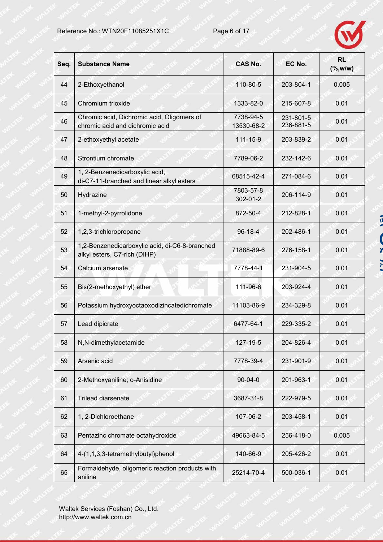

| Seq. | <b>Substance Name</b>                                                          | <b>CAS No.</b>              | EC No.                 | <b>RL</b><br>( %, w/w) |
|------|--------------------------------------------------------------------------------|-----------------------------|------------------------|------------------------|
| 44   | 2-Ethoxyethanol                                                                | 110-80-5                    | 203-804-1              | 0.005                  |
| 45   | Chromium trioxide                                                              | 1333-82-0                   | 215-607-8              | 0.01                   |
| 46   | Chromic acid, Dichromic acid, Oligomers of<br>chromic acid and dichromic acid  | 7738-94-5<br>13530-68-2     | 231-801-5<br>236-881-5 | 0.01                   |
| 47   | 2-ethoxyethyl acetate                                                          | $111 - 15 - 9$              | 203-839-2              | 0.01                   |
| 48   | Strontium chromate                                                             | 7789-06-2                   | 232-142-6              | 0.01                   |
| 49   | 1, 2-Benzenedicarboxylic acid,<br>di-C7-11-branched and linear alkyl esters    | 68515-42-4                  | 271-084-6              | 0.01                   |
| 50   | Hydrazine                                                                      | 7803-57-8<br>$302 - 01 - 2$ | 206-114-9              | 0.01                   |
| 51   | 1-methyl-2-pyrrolidone                                                         | 872-50-4                    | 212-828-1              | 0.01                   |
| 52   | 1,2,3-trichloropropane                                                         | $96 - 18 - 4$               | 202-486-1              | 0.01                   |
| 53   | 1,2-Benzenedicarboxylic acid, di-C6-8-branched<br>alkyl esters, C7-rich (DIHP) | 71888-89-6                  | 276-158-1              | 0.01                   |
| 54   | Calcium arsenate                                                               | 7778-44-1                   | 231-904-5              | 0.01                   |
| 55   | Bis(2-methoxyethyl) ether                                                      | 111-96-6                    | 203-924-4              | 0.01                   |
| 56   | Potassium hydroxyoctaoxodizincatedichromate                                    | 11103-86-9                  | 234-329-8              | 0.01                   |
| 57   | Lead dipicrate                                                                 | 6477-64-1                   | 229-335-2              | 0.01                   |
| 58   | N,N-dimethylacetamide                                                          | 127-19-5                    | 204-826-4              | 0.01                   |
| 59   | Arsenic acid                                                                   | 7778-39-4                   | 231-901-9              | 0.01                   |
| 60   | 2-Methoxyaniline; o-Anisidine                                                  | $90 - 04 - 0$               | 201-963-1              | 0.01                   |
| 61   | Trilead diarsenate                                                             | 3687-31-8                   | 222-979-5              | 0.01                   |
| 62   | 1, 2-Dichloroethane                                                            | 107-06-2                    | 203-458-1              | 0.01                   |
| 63   | Pentazinc chromate octahydroxide                                               | 49663-84-5                  | 256-418-0              | 0.005                  |
| 64   | 4-(1,1,3,3-tetramethylbutyl)phenol                                             | 140-66-9                    | 205-426-2              | 0.01                   |
| 65   | Formaldehyde, oligomeric reaction products with<br>aniline                     | 25214-70-4                  | 500-036-1              | 0.01                   |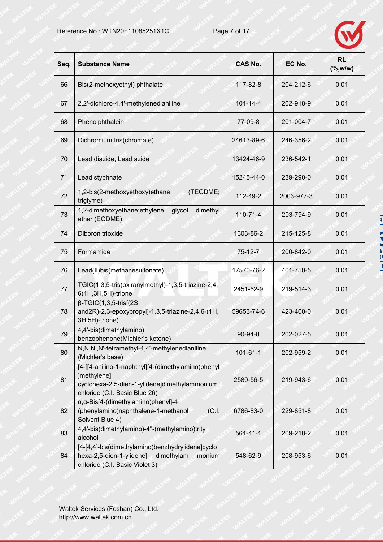

| Seq. | <b>Substance Name</b>                                                                                                                               | <b>CAS No.</b> | EC No.     | <b>RL</b><br>( %, w/w) |
|------|-----------------------------------------------------------------------------------------------------------------------------------------------------|----------------|------------|------------------------|
| 66   | Bis(2-methoxyethyl) phthalate                                                                                                                       | 117-82-8       | 204-212-6  | 0.01                   |
| 67   | 2,2'-dichloro-4,4'-methylenedianiline                                                                                                               | $101 - 14 - 4$ | 202-918-9  | 0.01                   |
| 68   | Phenolphthalein                                                                                                                                     | 77-09-8        | 201-004-7  | 0.01                   |
| 69   | Dichromium tris(chromate)                                                                                                                           | 24613-89-6     | 246-356-2  | 0.01                   |
| 70   | Lead diazide, Lead azide                                                                                                                            | 13424-46-9     | 236-542-1  | 0.01                   |
| 71   | Lead styphnate                                                                                                                                      | 15245-44-0     | 239-290-0  | 0.01                   |
| 72   | 1,2-bis(2-methoxyethoxy)ethane<br>(TEGDME;<br>triglyme)                                                                                             | 112-49-2       | 2003-977-3 | 0.01                   |
| 73   | 1,2-dimethoxyethane;ethylene<br>dimethyl<br>glycol<br>ether (EGDME)                                                                                 | $110 - 71 - 4$ | 203-794-9  | 0.01                   |
| 74   | Diboron trioxide                                                                                                                                    | 1303-86-2      | 215-125-8  | 0.01                   |
| 75   | Formamide                                                                                                                                           | $75 - 12 - 7$  | 200-842-0  | 0.01                   |
| 76   | Lead(II)bis(methanesulfonate)                                                                                                                       | 17570-76-2     | 401-750-5  | 0.01                   |
| 77   | TGIC(1,3,5-tris(oxiranylmethyl)-1,3,5-triazine-2,4,<br>6(1H,3H,5H)-trione                                                                           | 2451-62-9      | 219-514-3  | 0.01                   |
| 78   | $\beta$ -TGIC(1,3,5-tris[(2S<br>and2R)-2,3-epoxypropyl]-1,3,5-triazine-2,4,6-(1H,<br>3H, 5H)-trione)                                                | 59653-74-6     | 423-400-0  | 0.01                   |
| 79   | 4,4'-bis(dimethylamino)<br>benzophenone(Michler's ketone)                                                                                           | 90-94-8        | 202-027-5  | 0.01                   |
| 80   | N,N,N',N'-tetramethyl-4,4'-methylenedianiline<br>(Michler's base)                                                                                   | $101 - 61 - 1$ | 202-959-2  | 0.01                   |
| 81   | [4-[[4-anilino-1-naphthyl][4-(dimethylamino)phenyl<br>]methylene]<br>cyclohexa-2,5-dien-1-ylidene]dimethylammonium<br>chloride (C.I. Basic Blue 26) | 2580-56-5      | 219-943-6  | 0.01                   |
| 82   | $\alpha$ , $\alpha$ -Bis[4-(dimethylamino)phenyl]-4<br>(phenylamino)naphthalene-1-methanol<br>(C.1)<br>Solvent Blue 4)                              | 6786-83-0      | 229-851-8  | 0.01                   |
| 83   | 4,4'-bis(dimethylamino)-4"-(methylamino)trityl<br>alcohol                                                                                           | $561 - 41 - 1$ | 209-218-2  | 0.01                   |
| 84   | [4-[4,4'-bis(dimethylamino)benzhydrylidene]cyclo<br>hexa-2,5-dien-1-ylidene]<br>dimethylam<br>monium<br>chloride (C.I. Basic Violet 3)              | 548-62-9       | 208-953-6  | 0.01                   |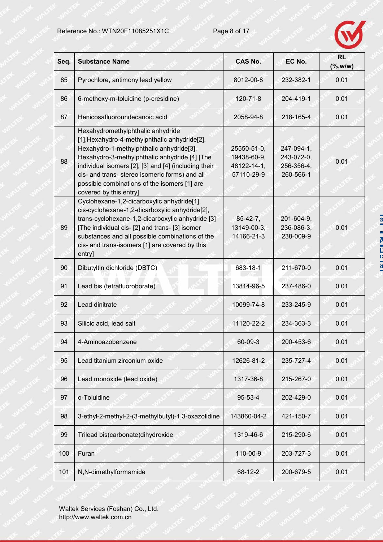

| Seq. | <b>Substance Name</b>                                                                                                                                                                                                                                                                                                                                               | <b>CAS No.</b>                                          | EC No.                                              | <b>RL</b><br>$(\%$ , w/w) |
|------|---------------------------------------------------------------------------------------------------------------------------------------------------------------------------------------------------------------------------------------------------------------------------------------------------------------------------------------------------------------------|---------------------------------------------------------|-----------------------------------------------------|---------------------------|
| 85   | Pyrochlore, antimony lead yellow                                                                                                                                                                                                                                                                                                                                    | 8012-00-8                                               | 232-382-1                                           | 0.01                      |
| 86   | 6-methoxy-m-toluidine (p-cresidine)                                                                                                                                                                                                                                                                                                                                 | $120 - 71 - 8$                                          | 204-419-1                                           | 0.01                      |
| 87   | Henicosafluoroundecanoic acid                                                                                                                                                                                                                                                                                                                                       | 2058-94-8                                               | 218-165-4                                           | 0.01                      |
| 88   | Hexahydromethylphthalic anhydride<br>[1], Hexahydro-4-methylphthalic anhydride[2],<br>Hexahydro-1-methylphthalic anhydride[3],<br>Hexahydro-3-methylphthalic anhydride [4] [The<br>individual isomers [2], [3] and [4] (including their<br>cis- and trans- stereo isomeric forms) and all<br>possible combinations of the isomers [1] are<br>covered by this entry] | 25550-51-0,<br>19438-60-9,<br>48122-14-1,<br>57110-29-9 | 247-094-1,<br>243-072-0,<br>256-356-4,<br>260-566-1 | 0.01                      |
| 89   | Cyclohexane-1,2-dicarboxylic anhydride[1],<br>cis-cyclohexane-1,2-dicarboxylic anhydride[2],<br>trans-cyclohexane-1,2-dicarboxylic anhydride [3]<br>[The individual cis- [2] and trans- [3] isomer<br>substances and all possible combinations of the<br>cis- and trans-isomers [1] are covered by this<br>entry]                                                   | $85-42-7,$<br>13149-00-3,<br>14166-21-3                 | 201-604-9,<br>236-086-3,<br>238-009-9               | 0.01                      |
| 90   | Dibutyltin dichloride (DBTC)                                                                                                                                                                                                                                                                                                                                        | 683-18-1                                                | 211-670-0                                           | 0.01                      |
| 91   | Lead bis (tetrafluoroborate)                                                                                                                                                                                                                                                                                                                                        | 13814-96-5                                              | 237-486-0                                           | 0.01                      |
| 92   | Lead dinitrate                                                                                                                                                                                                                                                                                                                                                      | 10099-74-8                                              | 233-245-9                                           | 0.01                      |
| 93   | Silicic acid, lead salt                                                                                                                                                                                                                                                                                                                                             | 11120-22-2                                              | 234-363-3                                           | 0.01                      |
| 94   | 4-Aminoazobenzene                                                                                                                                                                                                                                                                                                                                                   | 60-09-3                                                 | 200-453-6                                           | 0.01                      |
| 95   | Lead titanium zirconium oxide                                                                                                                                                                                                                                                                                                                                       | 12626-81-2                                              | 235-727-4                                           | 0.01                      |
| 96   | Lead monoxide (lead oxide)                                                                                                                                                                                                                                                                                                                                          | 1317-36-8                                               | 215-267-0                                           | 0.01                      |
| 97   | o-Toluidine                                                                                                                                                                                                                                                                                                                                                         | $95 - 53 - 4$                                           | 202-429-0                                           | 0.01                      |
| 98   | 3-ethyl-2-methyl-2-(3-methylbutyl)-1,3-oxazolidine                                                                                                                                                                                                                                                                                                                  | 143860-04-2                                             | 421-150-7                                           | 0.01                      |
| 99   | Trilead bis(carbonate)dihydroxide                                                                                                                                                                                                                                                                                                                                   | 1319-46-6                                               | 215-290-6                                           | 0.01                      |
| 100  | Furan                                                                                                                                                                                                                                                                                                                                                               | 110-00-9                                                | 203-727-3                                           | 0.01                      |
| 101  | N,N-dimethylformamide                                                                                                                                                                                                                                                                                                                                               | 68-12-2                                                 | 200-679-5                                           | 0.01                      |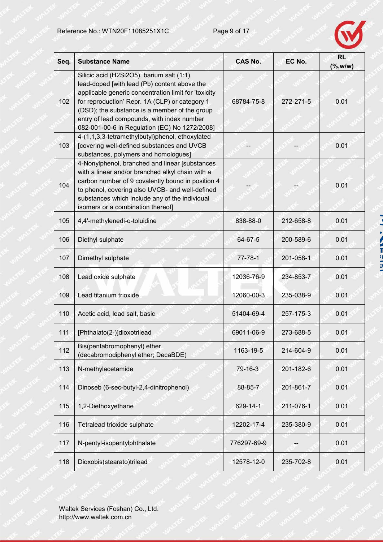

| Seq. | <b>Substance Name</b>                                                                                                                                                                                                                                                                                                                                | <b>CAS No.</b> | EC No.    | <b>RL</b><br>( %, w/w) |
|------|------------------------------------------------------------------------------------------------------------------------------------------------------------------------------------------------------------------------------------------------------------------------------------------------------------------------------------------------------|----------------|-----------|------------------------|
| 102  | Silicic acid (H2Si2O5), barium salt (1:1),<br>lead-doped [with lead (Pb) content above the<br>applicable generic concentration limit for 'toxicity<br>for reproduction' Repr. 1A (CLP) or category 1<br>(DSD); the substance is a member of the group<br>entry of lead compounds, with index number<br>082-001-00-6 in Regulation (EC) No 1272/2008] | 68784-75-8     | 272-271-5 | 0.01                   |
| 103  | 4-(1,1,3,3-tetramethylbutyl)phenol, ethoxylated<br>[covering well-defined substances and UVCB<br>substances, polymers and homologues]                                                                                                                                                                                                                |                |           | 0.01                   |
| 104  | 4-Nonylphenol, branched and linear [substances<br>with a linear and/or branched alkyl chain with a<br>carbon number of 9 covalently bound in position 4<br>to phenol, covering also UVCB- and well-defined<br>substances which include any of the individual<br>isomers or a combination thereof]                                                    |                |           | 0.01                   |
| 105  | 4,4'-methylenedi-o-toluidine                                                                                                                                                                                                                                                                                                                         | 838-88-0       | 212-658-8 | 0.01                   |
| 106  | Diethyl sulphate                                                                                                                                                                                                                                                                                                                                     | 64-67-5        | 200-589-6 | 0.01                   |
| 107  | Dimethyl sulphate                                                                                                                                                                                                                                                                                                                                    | $77 - 78 - 1$  | 201-058-1 | 0.01                   |
| 108  | Lead oxide sulphate                                                                                                                                                                                                                                                                                                                                  | 12036-76-9     | 234-853-7 | 0.01                   |
| 109  | Lead titanium trioxide                                                                                                                                                                                                                                                                                                                               | 12060-00-3     | 235-038-9 | 0.01                   |
| 110  | Acetic acid, lead salt, basic                                                                                                                                                                                                                                                                                                                        | 51404-69-4     | 257-175-3 | 0.01                   |
| 111  | [Phthalato(2-)]dioxotrilead                                                                                                                                                                                                                                                                                                                          | 69011-06-9     | 273-688-5 | 0.01                   |
| 112  | Bis(pentabromophenyl) ether<br>(decabromodiphenyl ether; DecaBDE)                                                                                                                                                                                                                                                                                    | 1163-19-5      | 214-604-9 | 0.01                   |
| 113  | N-methylacetamide                                                                                                                                                                                                                                                                                                                                    | 79-16-3        | 201-182-6 | 0.01                   |
| 114  | Dinoseb (6-sec-butyl-2,4-dinitrophenol)                                                                                                                                                                                                                                                                                                              | 88-85-7        | 201-861-7 | 0.01                   |
| 115  | 1,2-Diethoxyethane                                                                                                                                                                                                                                                                                                                                   | 629-14-1       | 211-076-1 | 0.01                   |
| 116  | Tetralead trioxide sulphate                                                                                                                                                                                                                                                                                                                          | 12202-17-4     | 235-380-9 | 0.01                   |
| 117  | N-pentyl-isopentylphthalate                                                                                                                                                                                                                                                                                                                          | 776297-69-9    |           | 0.01                   |
| 118  | Dioxobis(stearato)trilead                                                                                                                                                                                                                                                                                                                            | 12578-12-0     | 235-702-8 | 0.01                   |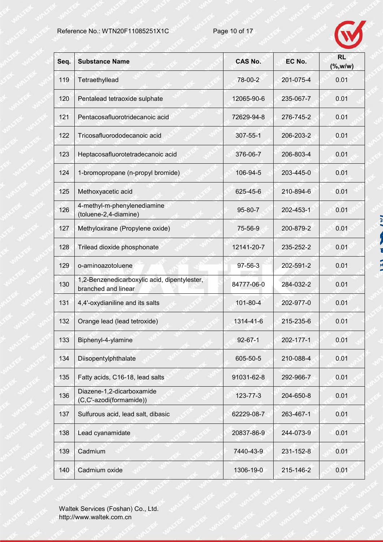

a co a

 $\frac{1}{2}$ 

| Seq. | <b>Substance Name</b>                                               | <b>CAS No.</b> | EC No.    | <b>RL</b><br>( %, w/w) |
|------|---------------------------------------------------------------------|----------------|-----------|------------------------|
| 119  | Tetraethyllead                                                      | 78-00-2        | 201-075-4 | 0.01                   |
| 120  | Pentalead tetraoxide sulphate                                       | 12065-90-6     | 235-067-7 | 0.01                   |
| 121  | Pentacosafluorotridecanoic acid                                     | 72629-94-8     | 276-745-2 | 0.01                   |
| 122  | Tricosafluorododecanoic acid                                        | 307-55-1       | 206-203-2 | 0.01                   |
| 123  | Heptacosafluorotetradecanoic acid                                   | 376-06-7       | 206-803-4 | 0.01                   |
| 124  | 1-bromopropane (n-propyl bromide)                                   | 106-94-5       | 203-445-0 | 0.01                   |
| 125  | Methoxyacetic acid                                                  | 625-45-6       | 210-894-6 | 0.01                   |
| 126  | 4-methyl-m-phenylenediamine<br>(toluene-2,4-diamine)                | 95-80-7        | 202-453-1 | 0.01                   |
| 127  | Methyloxirane (Propylene oxide)                                     | 75-56-9        | 200-879-2 | 0.01                   |
| 128  | Trilead dioxide phosphonate                                         | 12141-20-7     | 235-252-2 | 0.01                   |
| 129  | o-aminoazotoluene                                                   | $97 - 56 - 3$  | 202-591-2 | 0.01                   |
| 130  | 1,2-Benzenedicarboxylic acid, dipentylester,<br>branched and linear | 84777-06-0     | 284-032-2 | 0.01                   |
| 131  | 4,4'-oxydianiline and its salts                                     | 101-80-4       | 202-977-0 | 0.01                   |
| 132  | Orange lead (lead tetroxide)                                        | 1314-41-6      | 215-235-6 | 0.01                   |
| 133  | Biphenyl-4-ylamine                                                  | $92 - 67 - 1$  | 202-177-1 | 0.01                   |
| 134  | Diisopentylphthalate                                                | 605-50-5       | 210-088-4 | 0.01                   |
| 135  | Fatty acids, C16-18, lead salts                                     | 91031-62-8     | 292-966-7 | 0.01                   |
| 136  | Diazene-1,2-dicarboxamide<br>(C,C'-azodi(formamide))                | 123-77-3       | 204-650-8 | 0.01                   |
| 137  | Sulfurous acid, lead salt, dibasic                                  | 62229-08-7     | 263-467-1 | 0.01                   |
| 138  | Lead cyanamidate                                                    | 20837-86-9     | 244-073-9 | 0.01                   |
| 139  | Cadmium                                                             | 7440-43-9      | 231-152-8 | 0.01                   |
| 140  | Cadmium oxide                                                       | 1306-19-0      | 215-146-2 | 0.01                   |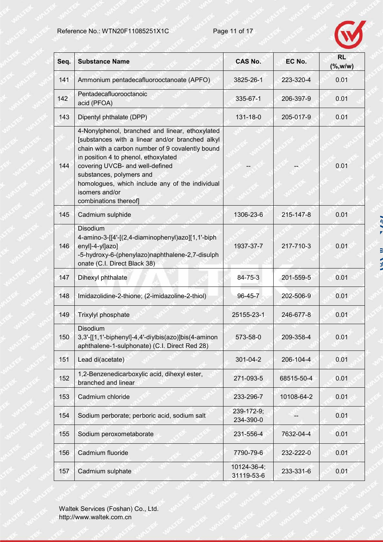

| Seq. | <b>Substance Name</b>                                                                                                                                                                                                                                                                                                                                       | <b>CAS No.</b>            | EC No.     | <b>RL</b><br>$(\%$ , w/w) |
|------|-------------------------------------------------------------------------------------------------------------------------------------------------------------------------------------------------------------------------------------------------------------------------------------------------------------------------------------------------------------|---------------------------|------------|---------------------------|
| 141  | Ammonium pentadecafluorooctanoate (APFO)                                                                                                                                                                                                                                                                                                                    | 3825-26-1                 | 223-320-4  | 0.01                      |
| 142  | Pentadecafluorooctanoic<br>acid (PFOA)                                                                                                                                                                                                                                                                                                                      | 335-67-1                  | 206-397-9  | 0.01                      |
| 143  | Dipentyl phthalate (DPP)                                                                                                                                                                                                                                                                                                                                    | $131 - 18 - 0$            | 205-017-9  | 0.01                      |
| 144  | 4-Nonylphenol, branched and linear, ethoxylated<br>[substances with a linear and/or branched alkyl<br>chain with a carbon number of 9 covalently bound<br>in position 4 to phenol, ethoxylated<br>covering UVCB- and well-defined<br>substances, polymers and<br>homologues, which include any of the individual<br>isomers and/or<br>combinations thereof] |                           |            | 0.01                      |
| 145  | Cadmium sulphide                                                                                                                                                                                                                                                                                                                                            | 1306-23-6                 | 215-147-8  | 0.01                      |
| 146  | Disodium<br>4-amino-3-[[4'-[(2,4-diaminophenyl)azo][1,1'-biph<br>enyl]-4-yl]azo]<br>-5-hydroxy-6-(phenylazo)naphthalene-2,7-disulph<br>onate (C.I. Direct Black 38)                                                                                                                                                                                         | 1937-37-7                 | 217-710-3  | 0.01                      |
| 147  | Dihexyl phthalate                                                                                                                                                                                                                                                                                                                                           | 84-75-3                   | 201-559-5  | 0.01                      |
| 148  | Imidazolidine-2-thione; (2-imidazoline-2-thiol)                                                                                                                                                                                                                                                                                                             | $96 - 45 - 7$             | 202-506-9  | 0.01                      |
| 149  | Trixylyl phosphate                                                                                                                                                                                                                                                                                                                                          | 25155-23-1                | 246-677-8  | 0.01                      |
| 150  | Disodium<br>3,3'-[[1,1'-biphenyl]-4,4'-diylbis(azo)]bis(4-aminon<br>aphthalene-1-sulphonate) (C.I. Direct Red 28)                                                                                                                                                                                                                                           | 573-58-0                  | 209-358-4  | 0.01                      |
| 151  | Lead di(acetate)                                                                                                                                                                                                                                                                                                                                            | 301-04-2                  | 206-104-4  | 0.01                      |
| 152  | 1,2-Benzenedicarboxylic acid, dihexyl ester,<br>branched and linear                                                                                                                                                                                                                                                                                         | 271-093-5                 | 68515-50-4 | 0.01                      |
| 153  | Cadmium chloride                                                                                                                                                                                                                                                                                                                                            | 233-296-7                 | 10108-64-2 | 0.01                      |
| 154  | Sodium perborate; perboric acid, sodium salt                                                                                                                                                                                                                                                                                                                | 239-172-9;<br>234-390-0   |            | 0.01                      |
| 155  | Sodium peroxometaborate                                                                                                                                                                                                                                                                                                                                     | 231-556-4                 | 7632-04-4  | 0.01                      |
| 156  | Cadmium fluoride                                                                                                                                                                                                                                                                                                                                            | 7790-79-6                 | 232-222-0  | 0.01                      |
| 157  | Cadmium sulphate                                                                                                                                                                                                                                                                                                                                            | 10124-36-4;<br>31119-53-6 | 233-331-6  | 0.01                      |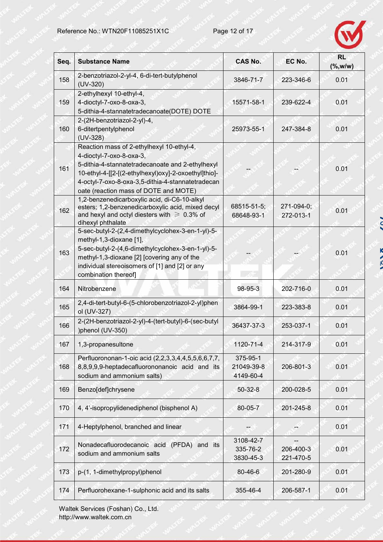

 $\overline{z}$ 

K **N 72. W** 

| Seq. | <b>Substance Name</b>                                                                                                                                                                                                                                                           | <b>CAS No.</b>                      | EC No.                  | <b>RL</b><br>( %, w/w) |
|------|---------------------------------------------------------------------------------------------------------------------------------------------------------------------------------------------------------------------------------------------------------------------------------|-------------------------------------|-------------------------|------------------------|
| 158  | 2-benzotriazol-2-yl-4, 6-di-tert-butylphenol<br>$(UV-320)$                                                                                                                                                                                                                      | 3846-71-7                           | 223-346-6               | 0.01                   |
| 159  | 2-ethylhexyl 10-ethyl-4,<br>4-dioctyl-7-oxo-8-oxa-3,<br>5-dithia-4-stannatetradecanoate(DOTE) DOTE                                                                                                                                                                              | 15571-58-1                          | 239-622-4               | 0.01                   |
| 160  | 2-(2H-benzotriazol-2-yl)-4,<br>6-ditertpentylphenol<br>$(UV-328)$                                                                                                                                                                                                               | 25973-55-1                          | 247-384-8               | 0.01                   |
| 161  | Reaction mass of 2-ethylhexyl 10-ethyl-4,<br>4-dioctyl-7-oxo-8-oxa-3,<br>5-dithia-4-stannatetradecanoate and 2-ethylhexyl<br>10-ethyl-4-[[2-[(2-ethylhexyl)oxy]-2-oxoethyl]thio]-<br>4-octyl-7-oxo-8-oxa-3,5-dithia-4-stannatetradecan<br>oate (reaction mass of DOTE and MOTE) |                                     |                         | 0.01                   |
| 162  | 1,2-benzenedicarboxylic acid, di-C6-10-alkyl<br>esters; 1,2-benzenedicarboxylic acid, mixed decyl<br>and hexyl and octyl diesters with $\geq 0.3\%$ of<br>dihexyl phthalate                                                                                                     | 68515-51-5;<br>68648-93-1           | 271-094-0;<br>272-013-1 | 0.01                   |
| 163  | 5-sec-butyl-2-(2,4-dimethylcyclohex-3-en-1-yl)-5-<br>methyl-1,3-dioxane [1],<br>5-sec-butyl-2-(4,6-dimethylcyclohex-3-en-1-yl)-5-<br>methyl-1,3-dioxane [2] [covering any of the<br>individual stereoisomers of [1] and [2] or any<br>combination thereof]                      |                                     |                         | 0.01                   |
| 164  | Nitrobenzene                                                                                                                                                                                                                                                                    | 98-95-3                             | 202-716-0               | 0.01                   |
| 165  | 2,4-di-tert-butyl-6-(5-chlorobenzotriazol-2-yl)phen<br>ol (UV-327)                                                                                                                                                                                                              | 3864-99-1                           | 223-383-8               | 0.01                   |
| 166  | 2-(2H-benzotriazol-2-yl)-4-(tert-butyl)-6-(sec-butyl<br>)phenol (UV-350)                                                                                                                                                                                                        | 36437-37-3                          | 253-037-1               | 0.01                   |
| 167  | 1,3-propanesultone                                                                                                                                                                                                                                                              | 1120-71-4                           | 214-317-9               | 0.01                   |
| 168  | Perfluorononan-1-oic acid (2,2,3,3,4,4,5,5,6,6,7,7,<br>8,8,9,9,9-heptadecafluorononanoic acid and its<br>sodium and ammonium salts)                                                                                                                                             | 375-95-1<br>21049-39-8<br>4149-60-4 | 206-801-3               | 0.01                   |
| 169  | Benzo[def]chrysene                                                                                                                                                                                                                                                              | $50 - 32 - 8$                       | 200-028-5               | 0.01                   |
| 170  | 4, 4'-isopropylidenediphenol (bisphenol A)                                                                                                                                                                                                                                      | 80-05-7                             | 201-245-8               | 0.01                   |
| 171  | 4-Heptylphenol, branched and linear                                                                                                                                                                                                                                             |                                     |                         | 0.01                   |
| 172  | Nonadecafluorodecanoic acid (PFDA) and its<br>sodium and ammonium salts                                                                                                                                                                                                         | 3108-42-7<br>335-76-2<br>3830-45-3  | 206-400-3<br>221-470-5  | 0.01                   |
| 173  | p-(1, 1-dimethylpropyl)phenol                                                                                                                                                                                                                                                   | 80-46-6                             | 201-280-9               | 0.01                   |
| 174  | Perfluorohexane-1-sulphonic acid and its salts                                                                                                                                                                                                                                  | 355-46-4                            | 206-587-1               | 0.01                   |

Waltek Services (Foshan) Co., Ltd. http://www.waltek.com.cn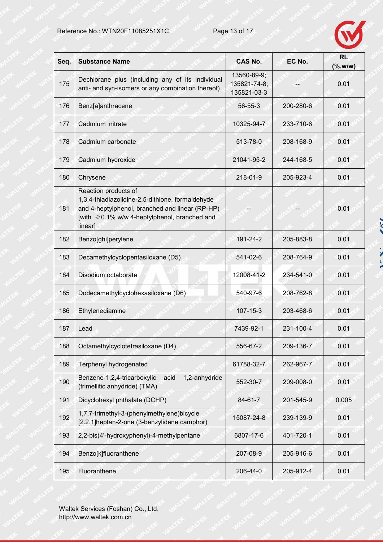

 $\sim$ 

γ  $\frac{1}{2}$ 

| Seq. | <b>Substance Name</b>                                                                                                                                                                         | <b>CAS No.</b>                             | EC No.    | <b>RL</b><br>( %, w/w) |
|------|-----------------------------------------------------------------------------------------------------------------------------------------------------------------------------------------------|--------------------------------------------|-----------|------------------------|
| 175  | Dechlorane plus (including any of its individual<br>anti- and syn-isomers or any combination thereof)                                                                                         | 13560-89-9;<br>135821-74-8;<br>135821-03-3 |           | 0.01                   |
| 176  | Benz[a]anthracene                                                                                                                                                                             | $56 - 55 - 3$                              | 200-280-6 | 0.01                   |
| 177  | Cadmium nitrate                                                                                                                                                                               | 10325-94-7                                 | 233-710-6 | 0.01                   |
| 178  | Cadmium carbonate                                                                                                                                                                             | 513-78-0                                   | 208-168-9 | 0.01                   |
| 179  | Cadmium hydroxide                                                                                                                                                                             | 21041-95-2                                 | 244-168-5 | 0.01                   |
| 180  | Chrysene                                                                                                                                                                                      | 218-01-9                                   | 205-923-4 | 0.01                   |
| 181  | Reaction products of<br>1,3,4-thiadiazolidine-2,5-dithione, formaldehyde<br>and 4-heptylphenol, branched and linear (RP-HP)<br>[with $\geq 0.1\%$ w/w 4-heptylphenol, branched and<br>linear] |                                            |           | 0.01                   |
| 182  | Benzo[ghi]perylene                                                                                                                                                                            | 191-24-2                                   | 205-883-8 | 0.01                   |
| 183  | Decamethylcyclopentasiloxane (D5)                                                                                                                                                             | 541-02-6                                   | 208-764-9 | 0.01                   |
| 184  | Disodium octaborate                                                                                                                                                                           | 12008-41-2                                 | 234-541-0 | 0.01                   |
| 185  | Dodecamethylcyclohexasiloxane (D6)                                                                                                                                                            | 540-97-6                                   | 208-762-8 | 0.01                   |
| 186  | Ethylenediamine                                                                                                                                                                               | $107 - 15 - 3$                             | 203-468-6 | 0.01                   |
| 187  | Lead                                                                                                                                                                                          | 7439-92-1                                  | 231-100-4 | 0.01                   |
| 188  | Octamethylcyclotetrasiloxane (D4)                                                                                                                                                             | 556-67-2                                   | 209-136-7 | 0.01                   |
| 189  | Terphenyl hydrogenated                                                                                                                                                                        | 61788-32-7                                 | 262-967-7 | 0.01                   |
| 190  | Benzene-1,2,4-tricarboxylic<br>1,2-anhydride<br>acid<br>(trimellitic anhydride) (TMA)                                                                                                         | 552-30-7                                   | 209-008-0 | 0.01                   |
| 191  | Dicyclohexyl phthalate (DCHP)                                                                                                                                                                 | $84 - 61 - 7$                              | 201-545-9 | 0.005                  |
| 192  | 1,7,7-trimethyl-3-(phenylmethylene)bicycle<br>[2.2.1]heptan-2-one (3-benzylidene camphor)                                                                                                     | 15087-24-8                                 | 239-139-9 | 0.01                   |
| 193  | 2,2-bis(4'-hydroxyphenyl)-4-methylpentane                                                                                                                                                     | 6807-17-6                                  | 401-720-1 | 0.01                   |
| 194  | Benzo[k]fluoranthene                                                                                                                                                                          | 207-08-9                                   | 205-916-6 | 0.01                   |
| 195  | Fluoranthene                                                                                                                                                                                  | 206-44-0                                   | 205-912-4 | 0.01                   |